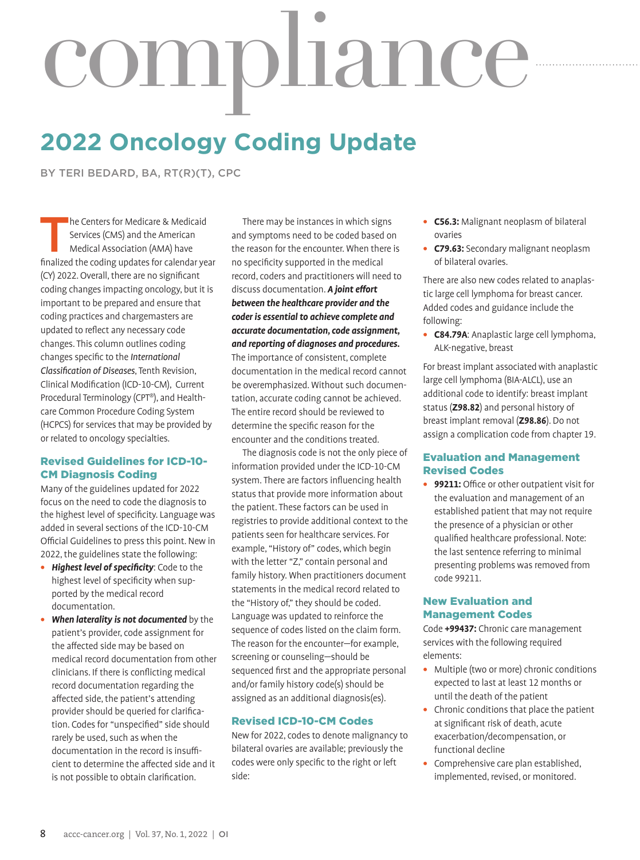# compliance

# **2022 Oncology Coding Update**

BY TERI BEDARD, BA, RT(R)(T), CPC

he Centers for Medicare & Medicaid Services (CMS) and the American Medical Association (AMA) have finalized the coding updates for calendar year (CY) 2022. Overall, there are no significant coding changes impacting oncology, but it is important to be prepared and ensure that coding practices and chargemasters are updated to reflect any necessary code changes. This column outlines coding changes specific to the *International Classification of Diseases*, Tenth Revision, Clinical Modification (ICD-10-CM), Current Procedural Terminology (CPT®), and Healthcare Common Procedure Coding System (HCPCS) for services that may be provided by or related to oncology specialties.

### Revised Guidelines for ICD-10- CM Diagnosis Coding

Many of the guidelines updated for 2022 focus on the need to code the diagnosis to the highest level of specificity. Language was added in several sections of the ICD-10-CM Official Guidelines to press this point. New in 2022, the guidelines state the following:

- **•** *Highest level of specificity*: Code to the highest level of specificity when supported by the medical record documentation.
- **•** *When laterality is not documented* by the patient's provider, code assignment for the affected side may be based on medical record documentation from other clinicians. If there is conflicting medical record documentation regarding the affected side, the patient's attending provider should be queried for clarification. Codes for "unspecified" side should rarely be used, such as when the documentation in the record is insufficient to determine the affected side and it is not possible to obtain clarification.

There may be instances in which signs and symptoms need to be coded based on the reason for the encounter. When there is no specificity supported in the medical record, coders and practitioners will need to discuss documentation. *A joint effort between the healthcare provider and the coder is essential to achieve complete and accurate documentation, code assignment, and reporting of diagnoses and procedures***.**  The importance of consistent, complete documentation in the medical record cannot be overemphasized. Without such documentation, accurate coding cannot be achieved. The entire record should be reviewed to determine the specific reason for the encounter and the conditions treated.

The diagnosis code is not the only piece of information provided under the ICD-10-CM system. There are factors influencing health status that provide more information about the patient. These factors can be used in registries to provide additional context to the patients seen for healthcare services. For example, "History of" codes, which begin with the letter "Z," contain personal and family history. When practitioners document statements in the medical record related to the "History of," they should be coded. Language was updated to reinforce the sequence of codes listed on the claim form. The reason for the encounter—for example, screening or counseling—should be sequenced first and the appropriate personal and/or family history code(s) should be assigned as an additional diagnosis(es).

### Revised ICD-10-CM Codes

New for 2022, codes to denote malignancy to bilateral ovaries are available; previously the codes were only specific to the right or left side:

- **• C56.3:** Malignant neoplasm of bilateral ovaries
- **• C79.63:** Secondary malignant neoplasm of bilateral ovaries.

There are also new codes related to anaplastic large cell lymphoma for breast cancer. Added codes and guidance include the following:

**• C84.79A**: Anaplastic large cell lymphoma, ALK-negative, breast

For breast implant associated with anaplastic large cell lymphoma (BIA-ALCL), use an additional code to identify: breast implant status (**Z98.82**) and personal history of breast implant removal (**Z98.86**). Do not assign a complication code from chapter 19.

# Evaluation and Management Revised Codes

**• 99211:** Office or other outpatient visit for the evaluation and management of an established patient that may not require the presence of a physician or other qualified healthcare professional. Note: the last sentence referring to minimal presenting problems was removed from code 99211.

### New Evaluation and Management Codes

Code **+99437:** Chronic care management services with the following required elements:

- **•** Multiple (two or more) chronic conditions expected to last at least 12 months or until the death of the patient
- **•** Chronic conditions that place the patient at significant risk of death, acute exacerbation/decompensation, or functional decline
- **•** Comprehensive care plan established, implemented, revised, or monitored.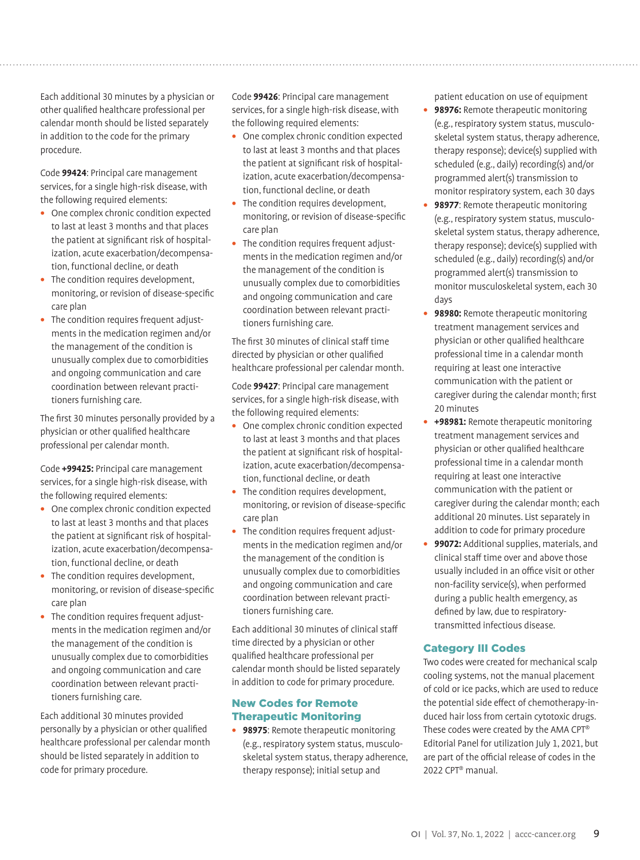Each additional 30 minutes by a physician or other qualified healthcare professional per calendar month should be listed separately in addition to the code for the primary procedure.

Code **99424**: Principal care management services, for a single high-risk disease, with the following required elements:

- **•** One complex chronic condition expected to last at least 3 months and that places the patient at significant risk of hospitalization, acute exacerbation/decompensation, functional decline, or death
- **•** The condition requires development, monitoring, or revision of disease-specific care plan
- **•** The condition requires frequent adjustments in the medication regimen and/or the management of the condition is unusually complex due to comorbidities and ongoing communication and care coordination between relevant practitioners furnishing care.

The first 30 minutes personally provided by a physician or other qualified healthcare professional per calendar month.

Code **+99425:** Principal care management services, for a single high-risk disease, with the following required elements:

- **•** One complex chronic condition expected to last at least 3 months and that places the patient at significant risk of hospitalization, acute exacerbation/decompensation, functional decline, or death
- **•** The condition requires development, monitoring, or revision of disease-specific care plan
- **•** The condition requires frequent adjustments in the medication regimen and/or the management of the condition is unusually complex due to comorbidities and ongoing communication and care coordination between relevant practitioners furnishing care.

Each additional 30 minutes provided personally by a physician or other qualified healthcare professional per calendar month should be listed separately in addition to code for primary procedure.

Code **99426**: Principal care management services, for a single high-risk disease, with the following required elements:

- **•** One complex chronic condition expected to last at least 3 months and that places the patient at significant risk of hospitalization, acute exacerbation/decompensation, functional decline, or death
- **•** The condition requires development, monitoring, or revision of disease-specific care plan
- **•** The condition requires frequent adjustments in the medication regimen and/or the management of the condition is unusually complex due to comorbidities and ongoing communication and care coordination between relevant practitioners furnishing care.

The first 30 minutes of clinical staff time directed by physician or other qualified healthcare professional per calendar month.

Code **99427**: Principal care management services, for a single high-risk disease, with the following required elements:

- **•** One complex chronic condition expected to last at least 3 months and that places the patient at significant risk of hospitalization, acute exacerbation/decompensation, functional decline, or death
- **•** The condition requires development, monitoring, or revision of disease-specific care plan
- **•** The condition requires frequent adjustments in the medication regimen and/or the management of the condition is unusually complex due to comorbidities and ongoing communication and care coordination between relevant practitioners furnishing care.

Each additional 30 minutes of clinical staff time directed by a physician or other qualified healthcare professional per calendar month should be listed separately in addition to code for primary procedure.

### New Codes for Remote Therapeutic Monitoring

**• 98975**: Remote therapeutic monitoring (e.g., respiratory system status, musculoskeletal system status, therapy adherence, therapy response); initial setup and

patient education on use of equipment

- **• 98976:** Remote therapeutic monitoring (e.g., respiratory system status, musculoskeletal system status, therapy adherence, therapy response); device(s) supplied with scheduled (e.g., daily) recording(s) and/or programmed alert(s) transmission to monitor respiratory system, each 30 days
- **• 98977**: Remote therapeutic monitoring (e.g., respiratory system status, musculoskeletal system status, therapy adherence, therapy response); device(s) supplied with scheduled (e.g., daily) recording(s) and/or programmed alert(s) transmission to monitor musculoskeletal system, each 30 days
- **• 98980:** Remote therapeutic monitoring treatment management services and physician or other qualified healthcare professional time in a calendar month requiring at least one interactive communication with the patient or caregiver during the calendar month; first 20 minutes
- **• +98981:** Remote therapeutic monitoring treatment management services and physician or other qualified healthcare professional time in a calendar month requiring at least one interactive communication with the patient or caregiver during the calendar month; each additional 20 minutes. List separately in addition to code for primary procedure
- **• 99072:** Additional supplies, materials, and clinical staff time over and above those usually included in an office visit or other non-facility service(s), when performed during a public health emergency, as defined by law, due to respiratorytransmitted infectious disease.

# Category III Codes

Two codes were created for mechanical scalp cooling systems, not the manual placement of cold or ice packs, which are used to reduce the potential side effect of chemotherapy-induced hair loss from certain cytotoxic drugs. These codes were created by the AMA CPT® Editorial Panel for utilization July 1, 2021, but are part of the official release of codes in the 2022 CPT® manual.